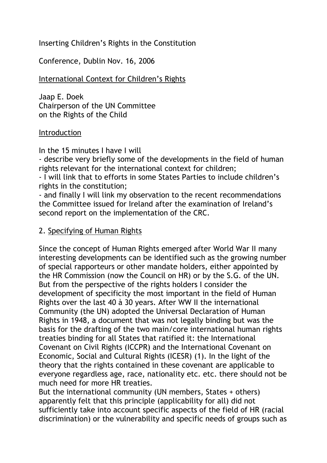### Inserting Children's Rights in the Constitution

Conference, Dublin Nov. 16, 2006

# International Context for Children's Rights

Jaap E. Doek Chairperson of the UN Committee on the Rights of the Child

### Introduction

In the 15 minutes I have I will

- describe very briefly some of the developments in the field of human rights relevant for the international context for children;

- I will link that to efforts in some States Parties to include children's rights in the constitution;

- and finally I will link my observation to the recent recommendations the Committee issued for Ireland after the examination of Ireland's second report on the implementation of the CRC.

# 2. Specifying of Human Rights

Since the concept of Human Rights emerged after World War II many interesting developments can be identified such as the growing number of special rapporteurs or other mandate holders, either appointed by the HR Commission (now the Council on HR) or by the S.G. of the UN. But from the perspective of the rights holders I consider the development of specificity the most important in the field of Human Rights over the last 40 à 30 years. After WW II the international Community (the UN) adopted the Universal Declaration of Human Rights in 1948, a document that was not legally binding but was the basis for the drafting of the two main/core international human rights treaties binding for all States that ratified it: the International Covenant on Civil Rights (ICCPR) and the International Covenant on Economic, Social and Cultural Rights (ICESR) (1). In the light of the theory that the rights contained in these covenant are applicable to everyone regardless age, race, nationality etc. etc. there should not be much need for more HR treaties.

But the international community (UN members, States + others) apparently felt that this principle (applicability for all) did not sufficiently take into account specific aspects of the field of HR (racial discrimination) or the vulnerability and specific needs of groups such as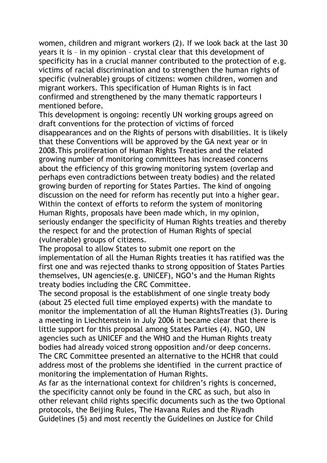women, children and migrant workers (2). If we look back at the last 30 years it is – in my opinion – crystal clear that this development of specificity has in a crucial manner contributed to the protection of e.g. victims of racial discrimination and to strengthen the human rights of specific (vulnerable) groups of citizens: women children, women and migrant workers. This specification of Human Rights is in fact confirmed and strengthened by the many thematic rapporteurs I mentioned before.

This development is ongoing: recently UN working groups agreed on draft conventions for the protection of victims of forced disappearances and on the Rights of persons with disabilities. It is likely that these Conventions will be approved by the GA next year or in 2008.This proliferation of Human Rights Treaties and the related growing number of monitoring committees has increased concerns about the efficiency of this growing monitoring system (overlap and perhaps even contradictions between treaty bodies) and the related growing burden of reporting for States Parties. The kind of ongoing discussion on the need for reform has recently put into a higher gear. Within the context of efforts to reform the system of monitoring Human Rights, proposals have been made which, in my opinion, seriously endanger the specificity of Human Rights treaties and thereby the respect for and the protection of Human Rights of special (vulnerable) groups of citizens.

The proposal to allow States to submit one report on the implementation of all the Human Rights treaties it has ratified was the first one and was rejected thanks to strong opposition of States Parties themselves, UN agencies(e.g. UNICEF), NGO's and the Human Rights treaty bodies including the CRC Committee.

The second proposal is the establishment of one single treaty body (about 25 elected full time employed experts) with the mandate to monitor the implementation of all the Human RightsTreaties (3). During a meeting in Liechtenstein in July 2006 it became clear that there is little support for this proposal among States Parties (4). NGO, UN agencies such as UNICEF and the WHO and the Human Rights treaty bodies had already voiced strong opposition and/or deep concerns. The CRC Committee presented an alternative to the HCHR that could address most of the problems she identified in the current practice of monitoring the implementation of Human Rights.

As far as the international context for children's rights is concerned, the specificity cannot only be found in the CRC as such, but also in other relevant child rights specific documents such as the two Optional protocols, the Beijing Rules, The Havana Rules and the Riyadh Guidelines (5) and most recently the Guidelines on Justice for Child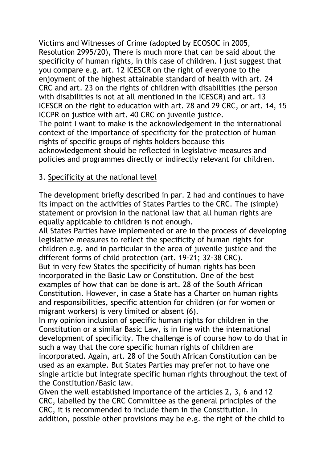Victims and Witnesses of Crime (adopted by ECOSOC in 2005, Resolution 2995/20), There is much more that can be said about the specificity of human rights, in this case of children. I just suggest that you compare e.g. art. 12 ICESCR on the right of everyone to the enjoyment of the highest attainable standard of health with art. 24 CRC and art. 23 on the rights of children with disabilities (the person with disabilities is not at all mentioned in the ICESCR) and art. 13 ICESCR on the right to education with art. 28 and 29 CRC, or art. 14, 15 ICCPR on justice with art. 40 CRC on juvenile justice. The point I want to make is the acknowledgement in the international context of the importance of specificity for the protection of human rights of specific groups of rights holders because this acknowledgement should be reflected in legislative measures and policies and programmes directly or indirectly relevant for children.

# 3. Specificity at the national level

The development briefly described in par. 2 had and continues to have its impact on the activities of States Parties to the CRC. The (simple) statement or provision in the national law that all human rights are equally applicable to children is not enough.

All States Parties have implemented or are in the process of developing legislative measures to reflect the specificity of human rights for children e.g. and in particular in the area of juvenile justice and the different forms of child protection (art. 19-21; 32-38 CRC). But in very few States the specificity of human rights has been incorporated in the Basic Law or Constitution. One of the best examples of how that can be done is art. 28 of the South African Constitution. However, in case a State has a Charter on human rights and responsibilities, specific attention for children (or for women or migrant workers) is very limited or absent (6).

In my opinion inclusion of specific human rights for children in the Constitution or a similar Basic Law, is in line with the international development of specificity. The challenge is of course how to do that in such a way that the core specific human rights of children are incorporated. Again, art. 28 of the South African Constitution can be used as an example. But States Parties may prefer not to have one single article but integrate specific human rights throughout the text of the Constitution/Basic law.

Given the well established importance of the articles 2, 3, 6 and 12 CRC, labelled by the CRC Committee as the general principles of the CRC, it is recommended to include them in the Constitution. In addition, possible other provisions may be e.g. the right of the child to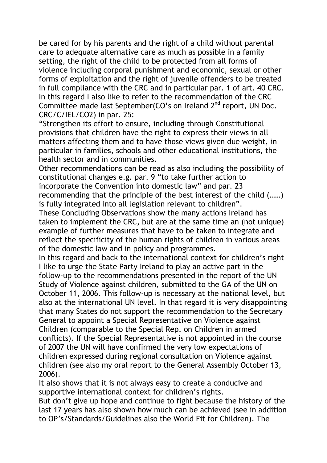be cared for by his parents and the right of a child without parental care to adequate alternative care as much as possible in a family setting, the right of the child to be protected from all forms of violence including corporal punishment and economic, sexual or other forms of exploitation and the right of juvenile offenders to be treated in full compliance with the CRC and in particular par. 1 of art. 40 CRC. In this regard I also like to refer to the recommendation of the CRC Committee made last September(CO's on Ireland 2<sup>nd</sup> report, UN Doc. CRC/C/IEL/CO2) in par. 25:

"Strengthen its effort to ensure, including through Constitutional provisions that children have the right to express their views in all matters affecting them and to have those views given due weight, in particular in families, schools and other educational institutions, the health sector and in communities.

Other recommendations can be read as also including the possibility of constitutional changes e.g. par. 9 "to take further action to incorporate the Convention into domestic law" and par. 23 recommending that the principle of the best interest of the child (……) is fully integrated into all legislation relevant to children".

These Concluding Observations show the many actions Ireland has taken to implement the CRC, but are at the same time an (not unique) example of further measures that have to be taken to integrate and reflect the specificity of the human rights of children in various areas of the domestic law and in policy and programmes.

In this regard and back to the international context for children's right I like to urge the State Party Ireland to play an active part in the follow-up to the recommendations presented in the report of the UN Study of Violence against children, submitted to the GA of the UN on October 11, 2006. This follow-up is necessary at the national level, but also at the international UN level. In that regard it is very disappointing that many States do not support the recommendation to the Secretary General to appoint a Special Representative on Violence against Children (comparable to the Special Rep. on Children in armed conflicts). If the Special Representative is not appointed in the course of 2007 the UN will have confirmed the very low expectations of children expressed during regional consultation on Violence against children (see also my oral report to the General Assembly October 13, 2006).

It also shows that it is not always easy to create a conducive and supportive international context for children's rights.

But don't give up hope and continue to fight because the history of the last 17 years has also shown how much can be achieved (see in addition to OP's/Standards/Guidelines also the World Fit for Children). The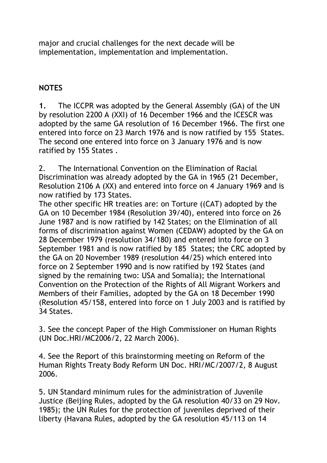major and crucial challenges for the next decade will be implementation, implementation and implementation.

# **NOTES**

**1.** The ICCPR was adopted by the General Assembly (GA) of the UN by resolution 2200 A (XXI) of 16 December 1966 and the ICESCR was adopted by the same GA resolution of 16 December 1966. The first one entered into force on 23 March 1976 and is now ratified by 155 States. The second one entered into force on 3 January 1976 and is now ratified by 155 States .

2. The International Convention on the Elimination of Racial Discrimination was already adopted by the GA in 1965 (21 December, Resolution 2106 A (XX) and entered into force on 4 January 1969 and is now ratified by 173 States.

The other specific HR treaties are: on Torture ((CAT) adopted by the GA on 10 December 1984 (Resolution 39/40), entered into force on 26 June 1987 and is now ratified by 142 States; on the Elimination of all forms of discrimination against Women (CEDAW) adopted by the GA on 28 December 1979 (resolution 34/180) and entered into force on 3 September 1981 and is now ratified by 185 States; the CRC adopted by the GA on 20 November 1989 (resolution 44/25) which entered into force on 2 September 1990 and is now ratified by 192 States (and signed by the remaining two: USA and Somalia); the International Convention on the Protection of the Rights of All Migrant Workers and Members of their Families, adopted by the GA on 18 December 1990 (Resolution 45/158, entered into force on 1 July 2003 and is ratified by 34 States.

3. See the concept Paper of the High Commissioner on Human Rights (UN Doc.HRI/MC2006/2, 22 March 2006).

4. See the Report of this brainstorming meeting on Reform of the Human Rights Treaty Body Reform UN Doc. HRI/MC/2007/2, 8 August 2006.

5. UN Standard minimum rules for the administration of Juvenile Justice (Beijing Rules, adopted by the GA resolution 40/33 on 29 Nov. 1985); the UN Rules for the protection of juveniles deprived of their liberty (Havana Rules, adopted by the GA resolution 45/113 on 14